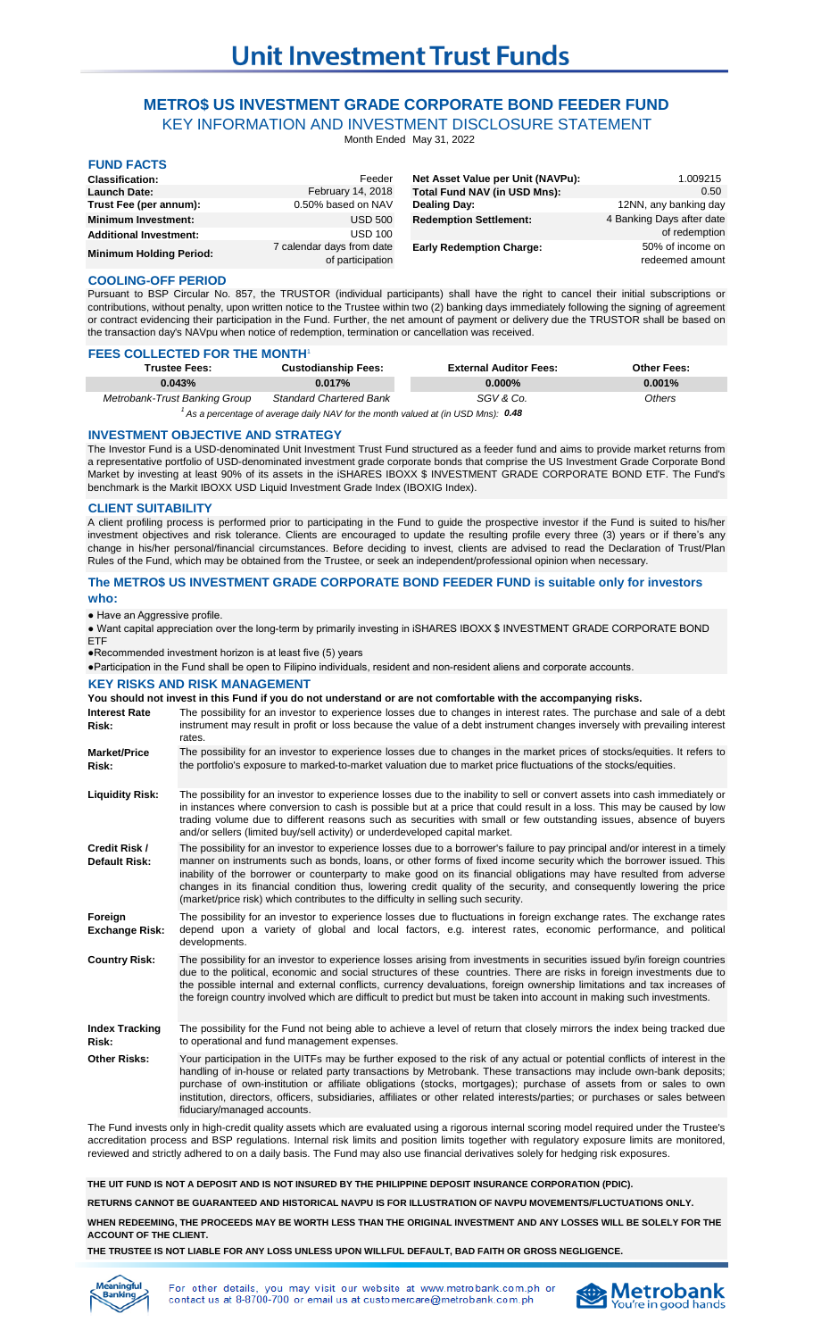# **METRO\$ US INVESTMENT GRADE CORPORATE BOND FEEDER FUND** KEY INFORMATION AND INVESTMENT DISCLOSURE STATEMENT

Month Ended May 31, 2022

| <b>FUND FACTS</b>              |                                               |                                   |                                     |
|--------------------------------|-----------------------------------------------|-----------------------------------|-------------------------------------|
| <b>Classification:</b>         | Feeder                                        | Net Asset Value per Unit (NAVPu): | 1.009215                            |
| <b>Launch Date:</b>            | February 14, 2018                             | Total Fund NAV (in USD Mns):      | 0.50                                |
| Trust Fee (per annum):         | 0.50% based on NAV                            | Dealing Day:                      | 12NN, any banking day               |
| <b>Minimum Investment:</b>     | <b>USD 500</b>                                | <b>Redemption Settlement:</b>     | 4 Banking Days after date           |
| <b>Additional Investment:</b>  | <b>USD 100</b>                                |                                   | of redemption                       |
| <b>Minimum Holding Period:</b> | 7 calendar days from date<br>of participation | <b>Early Redemption Charge:</b>   | 50% of income on<br>redeemed amount |

### **COOLING-OFF PERIOD**

Pursuant to BSP Circular No. 857, the TRUSTOR (individual participants) shall have the right to cancel their initial subscriptions or contributions, without penalty, upon written notice to the Trustee within two (2) banking days immediately following the signing of agreement or contract evidencing their participation in the Fund. Further, the net amount of payment or delivery due the TRUSTOR shall be based on the transaction day's NAVpu when notice of redemption, termination or cancellation was received.

## **FEES COLLECTED FOR THE MONTH1**

| <b>Trustee Fees:</b>          | <b>Custodianship Fees:</b>     | <b>External Auditor Fees:</b> | <b>Other Fees:</b> |
|-------------------------------|--------------------------------|-------------------------------|--------------------|
| 0.043%                        | 0.017%                         | $0.000\%$                     | $0.001\%$          |
| Metrobank-Trust Banking Group | <b>Standard Chartered Bank</b> | SGV & Co.                     | Others             |

<sup>1</sup> As a percentage of average daily NAV for the month valued at (in USD Mns): 0.48

#### **INVESTMENT OBJECTIVE AND STRATEGY**

The Investor Fund is a USD-denominated Unit Investment Trust Fund structured as a feeder fund and aims to provide market returns from a representative portfolio of USD-denominated investment grade corporate bonds that comprise the US Investment Grade Corporate Bond Market by investing at least 90% of its assets in the iSHARES IBOXX \$ INVESTMENT GRADE CORPORATE BOND ETF. The Fund's benchmark is the Markit IBOXX USD Liquid Investment Grade Index (IBOXIG Index).

#### **CLIENT SUITABILITY**

A client profiling process is performed prior to participating in the Fund to guide the prospective investor if the Fund is suited to his/her investment objectives and risk tolerance. Clients are encouraged to update the resulting profile every three (3) years or if there's any change in his/her personal/financial circumstances. Before deciding to invest, clients are advised to read the Declaration of Trust/Plan Rules of the Fund, which may be obtained from the Trustee, or seek an independent/professional opinion when necessary.

### **The METRO\$ US INVESTMENT GRADE CORPORATE BOND FEEDER FUND is suitable only for investors who:**

● Have an Aggressive profile.

● Want capital appreciation over the long-term by primarily investing in iSHARES IBOXX \$ INVESTMENT GRADE CORPORATE BOND ETF

●Recommended investment horizon is at least five (5) years

●Participation in the Fund shall be open to Filipino individuals, resident and non-resident aliens and corporate accounts.

## **KEY RISKS AND RISK MANAGEMENT**

**You should not invest in this Fund if you do not understand or are not comfortable with the accompanying risks.**

**Interest Rate Risk:** The possibility for an investor to experience losses due to changes in interest rates. The purchase and sale of a debt instrument may result in profit or loss because the value of a debt instrument changes inversely with prevailing interest rates.

**Market/Price Risk:** The possibility for an investor to experience losses due to changes in the market prices of stocks/equities. It refers to the portfolio's exposure to marked-to-market valuation due to market price fluctuations of the stocks/equities.

- **Liquidity Risk:** The possibility for an investor to experience losses due to the inability to sell or convert assets into cash immediately or in instances where conversion to cash is possible but at a price that could result in a loss. This may be caused by low trading volume due to different reasons such as securities with small or few outstanding issues, absence of buyers and/or sellers (limited buy/sell activity) or underdeveloped capital market.
- **Credit Risk / Default Risk:** The possibility for an investor to experience losses due to a borrower's failure to pay principal and/or interest in a timely manner on instruments such as bonds, loans, or other forms of fixed income security which the borrower issued. This inability of the borrower or counterparty to make good on its financial obligations may have resulted from adverse changes in its financial condition thus, lowering credit quality of the security, and consequently lowering the price (market/price risk) which contributes to the difficulty in selling such security.
- **Foreign Exchange Risk:** The possibility for an investor to experience losses due to fluctuations in foreign exchange rates. The exchange rates depend upon a variety of global and local factors, e.g. interest rates, economic performance, and political developments.
- **Country Risk:** The possibility for an investor to experience losses arising from investments in securities issued by/in foreign countries due to the political, economic and social structures of these countries. There are risks in foreign investments due to the possible internal and external conflicts, currency devaluations, foreign ownership limitations and tax increases of the foreign country involved which are difficult to predict but must be taken into account in making such investments.

**Index Tracking Risk:** The possibility for the Fund not being able to achieve a level of return that closely mirrors the index being tracked due to operational and fund management expenses.

**Other Risks:** Your participation in the UITFs may be further exposed to the risk of any actual or potential conflicts of interest in the handling of in-house or related party transactions by Metrobank. These transactions may include own-bank deposits; purchase of own-institution or affiliate obligations (stocks, mortgages); purchase of assets from or sales to own institution, directors, officers, subsidiaries, affiliates or other related interests/parties; or purchases or sales between fiduciary/managed accounts.

The Fund invests only in high-credit quality assets which are evaluated using a rigorous internal scoring model required under the Trustee's accreditation process and BSP regulations. Internal risk limits and position limits together with regulatory exposure limits are monitored, reviewed and strictly adhered to on a daily basis. The Fund may also use financial derivatives solely for hedging risk exposures.

**THE UIT FUND IS NOT A DEPOSIT AND IS NOT INSURED BY THE PHILIPPINE DEPOSIT INSURANCE CORPORATION (PDIC).**

**RETURNS CANNOT BE GUARANTEED AND HISTORICAL NAVPU IS FOR ILLUSTRATION OF NAVPU MOVEMENTS/FLUCTUATIONS ONLY.**

**WHEN REDEEMING, THE PROCEEDS MAY BE WORTH LESS THAN THE ORIGINAL INVESTMENT AND ANY LOSSES WILL BE SOLELY FOR THE ACCOUNT OF THE CLIENT.**

**THE TRUSTEE IS NOT LIABLE FOR ANY LOSS UNLESS UPON WILLFUL DEFAULT, BAD FAITH OR GROSS NEGLIGENCE.**



For other details, you may visit our website at www.metrobank.com.ph or contact us at 8-8700-700 or email us at customercare@metrobank.com.ph

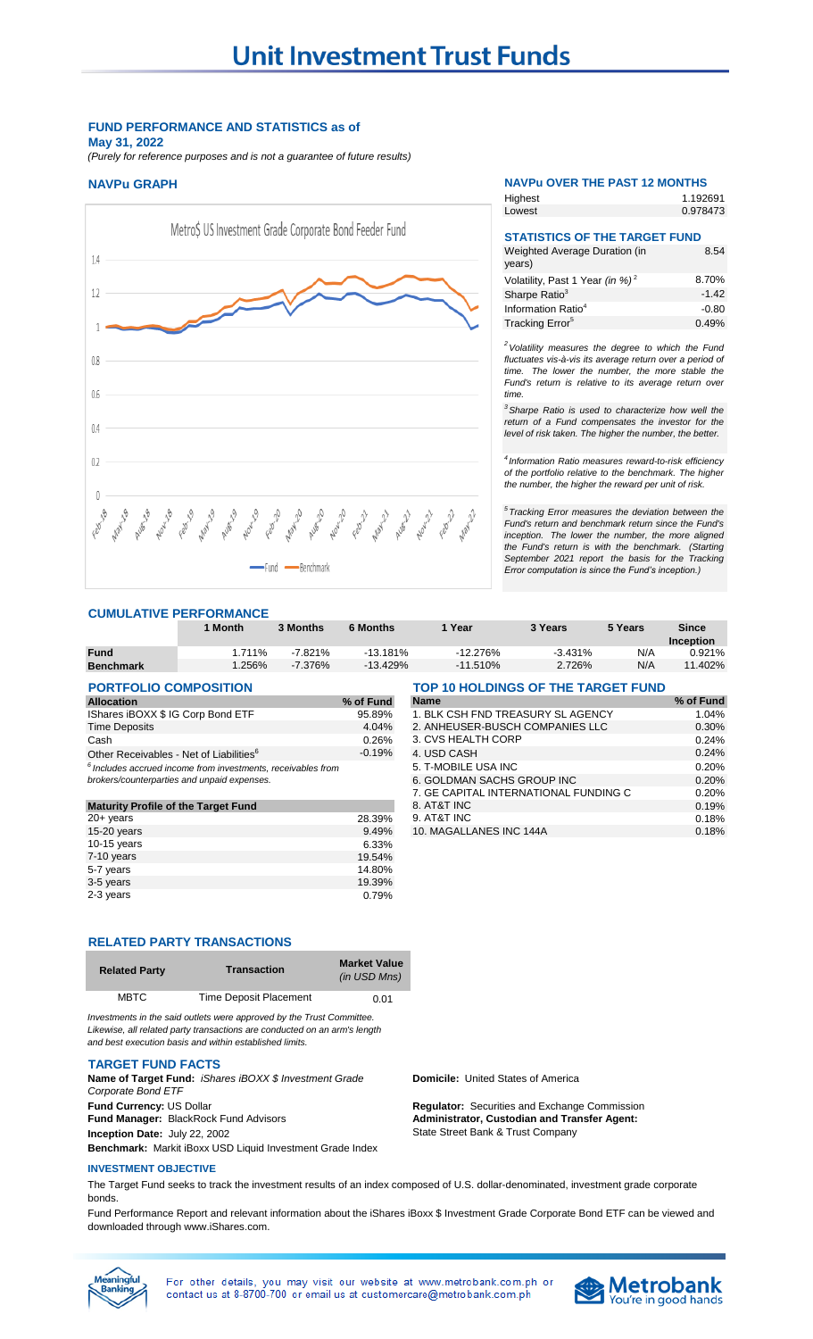## **FUND PERFORMANCE AND STATISTICS as of May 31, 2022**

*(Purely for reference purposes and is not a guarantee of future results)*



## **CUMULATIVE PERFORMANCE**

|                  | <sup>1</sup> Month | <b>3 Months</b> | 6 Months   | Year       | 3 Years   | 5 Years | Since       |
|------------------|--------------------|-----------------|------------|------------|-----------|---------|-------------|
|                  |                    |                 |            |            |           |         | Inception   |
| <b>Fund</b>      | 1.711%             | $-7.821%$       | $-13.181%$ | $-12.276%$ | $-3.431%$ | N/A     | 0.921%      |
| <b>Benchmark</b> | .256%              | $-7.376%$       | $-13.429%$ | $-11.510%$ | 2.726%    | N/A     | .402%<br>11 |

| <b>PORTFOLIO COMPOSITION</b>                                            |           | TOP 10 HOLDINGS OF THE TARGET FUND |           |  |
|-------------------------------------------------------------------------|-----------|------------------------------------|-----------|--|
| <b>Allocation</b>                                                       | % of Fund | <b>Name</b>                        | % of Fund |  |
| IShares iBOXX \$ IG Corp Bond ETF                                       | 95.89%    | 1. BLK CSH FND TREASURY SL AGENCY  | 1.04%     |  |
| <b>Time Deposits</b>                                                    | 4.04%     | 2. ANHEUSER-BUSCH COMPANIES LLC    | 0.30%     |  |
| Cash                                                                    | 0.26%     | 3. CVS HEALTH CORP                 | 0.24%     |  |
| Other Receivables - Net of Liabilities <sup>6</sup>                     | $-0.19%$  | 4. USD CASH                        | 0.24%     |  |
| <sup>6</sup> Includes accrued income from investments, receivables from |           | 5. T-MOBILE USA INC                | 0.20%     |  |
| hrokers/counternarties and unnaid expenses                              |           | A COLDMAN CACHE CROLID INC         | 0.200/    |  |

|                                            |        |                         | $\cdots$ |
|--------------------------------------------|--------|-------------------------|----------|
| <b>Maturity Profile of the Target Fund</b> |        | 8. AT&T INC             | 0.19%    |
| $20 + \mathrm{years}$                      | 28.39% | 9. AT&T INC             | 0.18%    |
| $15-20$ years                              | 9.49%  | 10. MAGALLANES INC 144A | 0.18%    |
| 10-15 years                                | 6.33%  |                         |          |
| $7-10$ years                               | 19.54% |                         |          |
| 5-7 years                                  | 14.80% |                         |          |
| 3-5 years                                  | 19.39% |                         |          |
| 2-3 years                                  | 0.79%  |                         |          |
|                                            |        |                         |          |

## **RELATED PARTY TRANSACTIONS**

| <b>Related Party</b> | <b>Transaction</b>            | <b>Market Value</b><br>(in USD Mns) |
|----------------------|-------------------------------|-------------------------------------|
| <b>MBTC</b>          | <b>Time Deposit Placement</b> | 0.01                                |

*Investments in the said outlets were approved by the Trust Committee. Likewise, all related party transactions are conducted on an arm's length and best execution basis and within established limits.*

#### **TARGET FUND FACTS**

**Fund Currency:** US Dollar **Regulator:** Securities and Exchange Commission **Fund Manager:** BlackRock Fund Advisors **Inception Date:** July 22, 2002 **Benchmark:** Markit iBoxx USD Liquid Investment Grade Index **Name of Target Fund:** *iShares iBOXX \$ Investment Grade Corporate Bond ETF*

#### **INVESTMENT OBJECTIVE**

The Target Fund seeks to track the investment results of an index composed of U.S. dollar-denominated, investment grade corporate bonds.

Fund Performance Report and relevant information about the iShares iBoxx \$ Investment Grade Corporate Bond ETF can be viewed and downloaded through www.iShares.com.



| Highest | 1.192691 |
|---------|----------|
| Lowest  | 0.978473 |

| <b>STATISTICS OF THE TARGET FUND</b>        |         |
|---------------------------------------------|---------|
| Weighted Average Duration (in<br>years)     | 8.54    |
| Volatility, Past 1 Year (in %) <sup>2</sup> | 8.70%   |
| Sharpe Ratio <sup>3</sup>                   | $-1.42$ |
| Information Ratio <sup>4</sup>              | $-0.80$ |
| Tracking Error <sup>5</sup>                 | 0.49%   |

*<sup>2</sup>Volatility measures the degree to which the Fund fluctuates vis-à-vis its average return over a period of time. The lower the number, the more stable the Fund's return is relative to its average return over time.* 

*<sup>3</sup>Sharpe Ratio is used to characterize how well the return of a Fund compensates the investor for the level of risk taken. The higher the number, the better.*

*4 Information Ratio measures reward-to-risk efficiency of the portfolio relative to the benchmark. The higher the number, the higher the reward per unit of risk.*

*5 Tracking Error measures the deviation between the Fund's return and benchmark return since the Fund's inception. The lower the number, the more aligned the Fund's return is with the benchmark. (Starting September 2021 report the basis for the Tracking Error computation is since the Fund's inception.)* 

**Domicile:** United States of America

**Administrator, Custodian and Transfer Agent:**  State Street Bank & Trust Company

7. GE CAPITAL INTERNATIONAL FUNDING C<br>8. AT&T INC

*Includes accrued income from investments, receivables from* 5. T-MOBILE USA INC 0.20% **6. GOLDMAN SACHS GROUP INC 6. GOLDMAN SACHS GROUP INC 6. COMPOSER 6. COMPOSE 6. COMPOSE CONTRACT 6. COMPOSE COMPOSE**<br>7. GE CAPITAL INTERNATIONAL FUNDING C 6. 20%